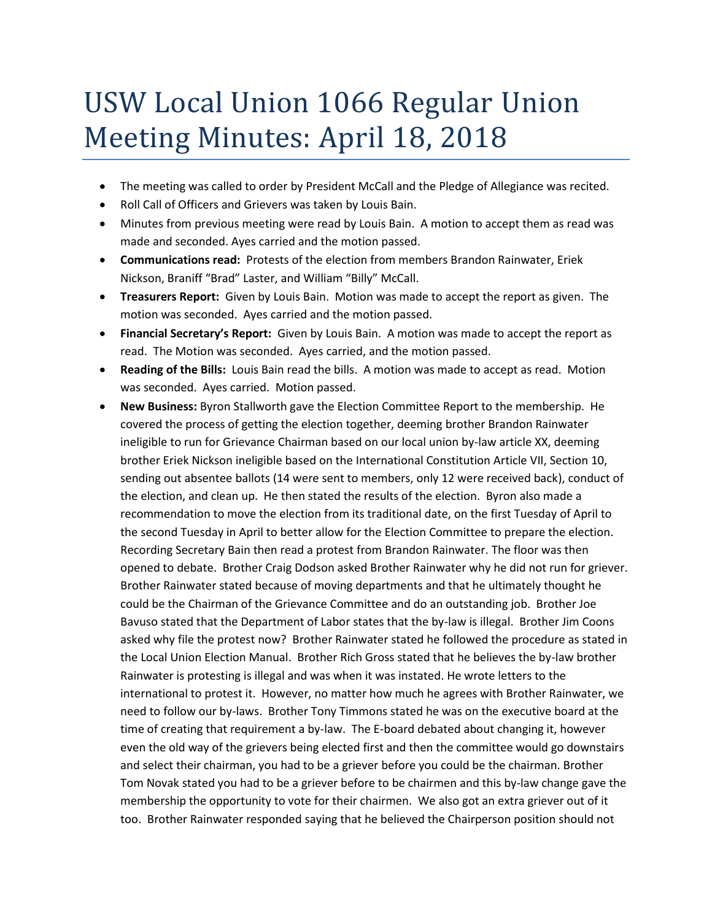## USW Local Union 1066 Regular Union Meeting Minutes: April 18, 2018

- The meeting was called to order by President McCall and the Pledge of Allegiance was recited.
- Roll Call of Officers and Grievers was taken by Louis Bain.
- Minutes from previous meeting were read by Louis Bain. A motion to accept them as read was made and seconded. Ayes carried and the motion passed.
- **Communications read:** Protests of the election from members Brandon Rainwater, Eriek Nickson, Braniff "Brad" Laster, and William "Billy" McCall.
- **Treasurers Report:** Given by Louis Bain. Motion was made to accept the report as given. The motion was seconded. Ayes carried and the motion passed.
- **Financial Secretary's Report:** Given by Louis Bain. A motion was made to accept the report as read. The Motion was seconded. Ayes carried, and the motion passed.
- **Reading of the Bills:** Louis Bain read the bills. A motion was made to accept as read. Motion was seconded. Ayes carried. Motion passed.
- **New Business:** Byron Stallworth gave the Election Committee Report to the membership. He covered the process of getting the election together, deeming brother Brandon Rainwater ineligible to run for Grievance Chairman based on our local union by-law article XX, deeming brother Eriek Nickson ineligible based on the International Constitution Article VII, Section 10, sending out absentee ballots (14 were sent to members, only 12 were received back), conduct of the election, and clean up. He then stated the results of the election. Byron also made a recommendation to move the election from its traditional date, on the first Tuesday of April to the second Tuesday in April to better allow for the Election Committee to prepare the election. Recording Secretary Bain then read a protest from Brandon Rainwater. The floor was then opened to debate. Brother Craig Dodson asked Brother Rainwater why he did not run for griever. Brother Rainwater stated because of moving departments and that he ultimately thought he could be the Chairman of the Grievance Committee and do an outstanding job. Brother Joe Bavuso stated that the Department of Labor states that the by-law is illegal. Brother Jim Coons asked why file the protest now? Brother Rainwater stated he followed the procedure as stated in the Local Union Election Manual. Brother Rich Gross stated that he believes the by-law brother Rainwater is protesting is illegal and was when it was instated. He wrote letters to the international to protest it. However, no matter how much he agrees with Brother Rainwater, we need to follow our by-laws. Brother Tony Timmons stated he was on the executive board at the time of creating that requirement a by-law. The E-board debated about changing it, however even the old way of the grievers being elected first and then the committee would go downstairs and select their chairman, you had to be a griever before you could be the chairman. Brother Tom Novak stated you had to be a griever before to be chairmen and this by-law change gave the membership the opportunity to vote for their chairmen. We also got an extra griever out of it too. Brother Rainwater responded saying that he believed the Chairperson position should not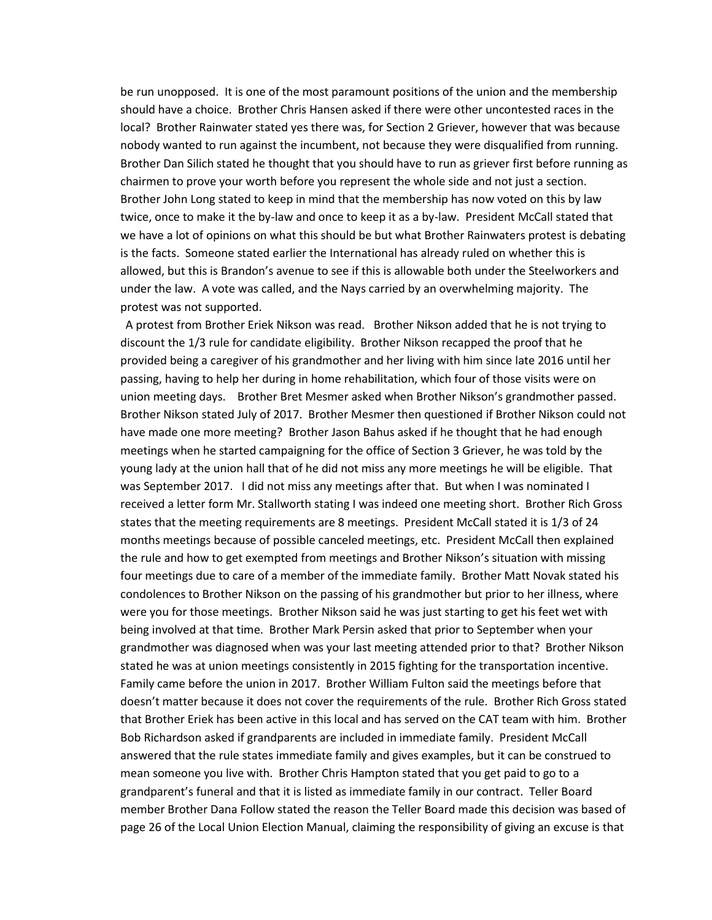be run unopposed. It is one of the most paramount positions of the union and the membership should have a choice. Brother Chris Hansen asked if there were other uncontested races in the local? Brother Rainwater stated yes there was, for Section 2 Griever, however that was because nobody wanted to run against the incumbent, not because they were disqualified from running. Brother Dan Silich stated he thought that you should have to run as griever first before running as chairmen to prove your worth before you represent the whole side and not just a section. Brother John Long stated to keep in mind that the membership has now voted on this by law twice, once to make it the by-law and once to keep it as a by-law. President McCall stated that we have a lot of opinions on what this should be but what Brother Rainwaters protest is debating is the facts. Someone stated earlier the International has already ruled on whether this is allowed, but this is Brandon's avenue to see if this is allowable both under the Steelworkers and under the law. A vote was called, and the Nays carried by an overwhelming majority. The protest was not supported.

A protest from Brother Eriek Nikson was read. Brother Nikson added that he is not trying to discount the 1/3 rule for candidate eligibility. Brother Nikson recapped the proof that he provided being a caregiver of his grandmother and her living with him since late 2016 until her passing, having to help her during in home rehabilitation, which four of those visits were on union meeting days. Brother Bret Mesmer asked when Brother Nikson's grandmother passed. Brother Nikson stated July of 2017. Brother Mesmer then questioned if Brother Nikson could not have made one more meeting? Brother Jason Bahus asked if he thought that he had enough meetings when he started campaigning for the office of Section 3 Griever, he was told by the young lady at the union hall that of he did not miss any more meetings he will be eligible. That was September 2017. I did not miss any meetings after that. But when I was nominated I received a letter form Mr. Stallworth stating I was indeed one meeting short. Brother Rich Gross states that the meeting requirements are 8 meetings. President McCall stated it is 1/3 of 24 months meetings because of possible canceled meetings, etc. President McCall then explained the rule and how to get exempted from meetings and Brother Nikson's situation with missing four meetings due to care of a member of the immediate family. Brother Matt Novak stated his condolences to Brother Nikson on the passing of his grandmother but prior to her illness, where were you for those meetings. Brother Nikson said he was just starting to get his feet wet with being involved at that time. Brother Mark Persin asked that prior to September when your grandmother was diagnosed when was your last meeting attended prior to that? Brother Nikson stated he was at union meetings consistently in 2015 fighting for the transportation incentive. Family came before the union in 2017. Brother William Fulton said the meetings before that doesn't matter because it does not cover the requirements of the rule. Brother Rich Gross stated that Brother Eriek has been active in this local and has served on the CAT team with him. Brother Bob Richardson asked if grandparents are included in immediate family. President McCall answered that the rule states immediate family and gives examples, but it can be construed to mean someone you live with. Brother Chris Hampton stated that you get paid to go to a grandparent's funeral and that it is listed as immediate family in our contract. Teller Board member Brother Dana Follow stated the reason the Teller Board made this decision was based of page 26 of the Local Union Election Manual, claiming the responsibility of giving an excuse is that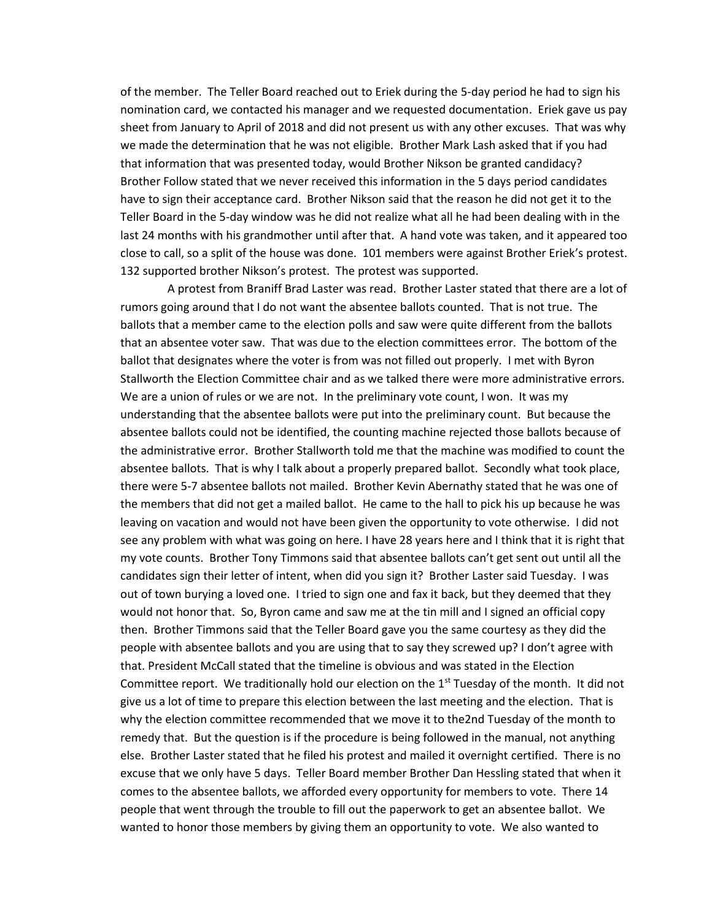of the member. The Teller Board reached out to Eriek during the 5-day period he had to sign his nomination card, we contacted his manager and we requested documentation. Eriek gave us pay sheet from January to April of 2018 and did not present us with any other excuses. That was why we made the determination that he was not eligible. Brother Mark Lash asked that if you had that information that was presented today, would Brother Nikson be granted candidacy? Brother Follow stated that we never received this information in the 5 days period candidates have to sign their acceptance card. Brother Nikson said that the reason he did not get it to the Teller Board in the 5-day window was he did not realize what all he had been dealing with in the last 24 months with his grandmother until after that. A hand vote was taken, and it appeared too close to call, so a split of the house was done. 101 members were against Brother Eriek's protest. 132 supported brother Nikson's protest. The protest was supported.

A protest from Braniff Brad Laster was read. Brother Laster stated that there are a lot of rumors going around that I do not want the absentee ballots counted. That is not true. The ballots that a member came to the election polls and saw were quite different from the ballots that an absentee voter saw. That was due to the election committees error. The bottom of the ballot that designates where the voter is from was not filled out properly. I met with Byron Stallworth the Election Committee chair and as we talked there were more administrative errors. We are a union of rules or we are not. In the preliminary vote count, I won. It was my understanding that the absentee ballots were put into the preliminary count. But because the absentee ballots could not be identified, the counting machine rejected those ballots because of the administrative error. Brother Stallworth told me that the machine was modified to count the absentee ballots. That is why I talk about a properly prepared ballot. Secondly what took place, there were 5-7 absentee ballots not mailed. Brother Kevin Abernathy stated that he was one of the members that did not get a mailed ballot. He came to the hall to pick his up because he was leaving on vacation and would not have been given the opportunity to vote otherwise. I did not see any problem with what was going on here. I have 28 years here and I think that it is right that my vote counts. Brother Tony Timmons said that absentee ballots can't get sent out until all the candidates sign their letter of intent, when did you sign it? Brother Laster said Tuesday. I was out of town burying a loved one. I tried to sign one and fax it back, but they deemed that they would not honor that. So, Byron came and saw me at the tin mill and I signed an official copy then. Brother Timmons said that the Teller Board gave you the same courtesy as they did the people with absentee ballots and you are using that to say they screwed up? I don't agree with that. President McCall stated that the timeline is obvious and was stated in the Election Committee report. We traditionally hold our election on the 1<sup>st</sup> Tuesday of the month. It did not give us a lot of time to prepare this election between the last meeting and the election. That is why the election committee recommended that we move it to the2nd Tuesday of the month to remedy that. But the question is if the procedure is being followed in the manual, not anything else. Brother Laster stated that he filed his protest and mailed it overnight certified. There is no excuse that we only have 5 days. Teller Board member Brother Dan Hessling stated that when it comes to the absentee ballots, we afforded every opportunity for members to vote. There 14 people that went through the trouble to fill out the paperwork to get an absentee ballot. We wanted to honor those members by giving them an opportunity to vote. We also wanted to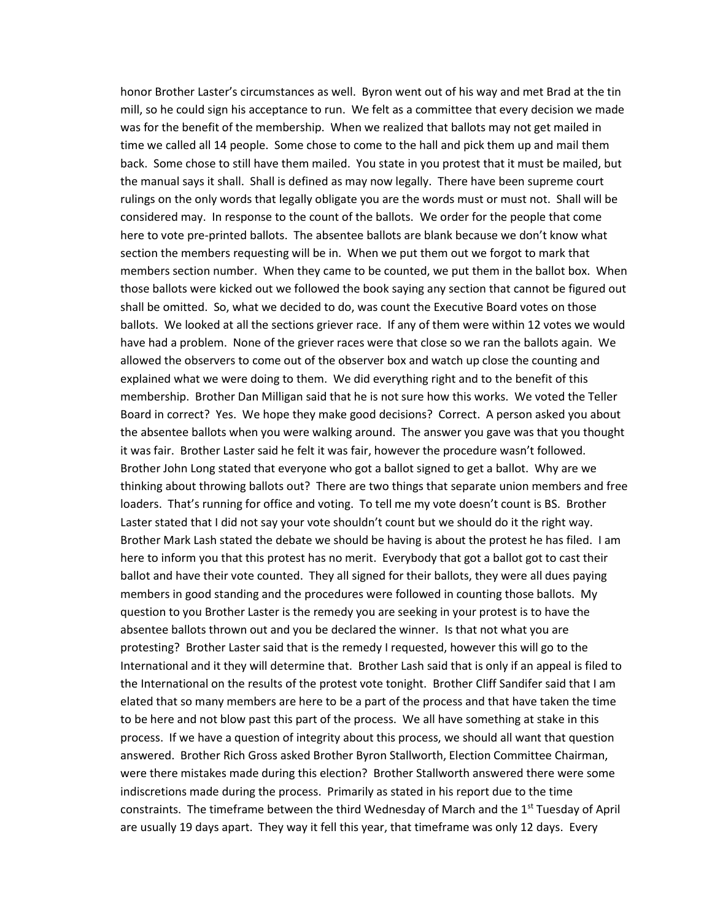honor Brother Laster's circumstances as well. Byron went out of his way and met Brad at the tin mill, so he could sign his acceptance to run. We felt as a committee that every decision we made was for the benefit of the membership. When we realized that ballots may not get mailed in time we called all 14 people. Some chose to come to the hall and pick them up and mail them back. Some chose to still have them mailed. You state in you protest that it must be mailed, but the manual says it shall. Shall is defined as may now legally. There have been supreme court rulings on the only words that legally obligate you are the words must or must not. Shall will be considered may. In response to the count of the ballots. We order for the people that come here to vote pre-printed ballots. The absentee ballots are blank because we don't know what section the members requesting will be in. When we put them out we forgot to mark that members section number. When they came to be counted, we put them in the ballot box. When those ballots were kicked out we followed the book saying any section that cannot be figured out shall be omitted. So, what we decided to do, was count the Executive Board votes on those ballots. We looked at all the sections griever race. If any of them were within 12 votes we would have had a problem. None of the griever races were that close so we ran the ballots again. We allowed the observers to come out of the observer box and watch up close the counting and explained what we were doing to them. We did everything right and to the benefit of this membership. Brother Dan Milligan said that he is not sure how this works. We voted the Teller Board in correct? Yes. We hope they make good decisions? Correct. A person asked you about the absentee ballots when you were walking around. The answer you gave was that you thought it was fair. Brother Laster said he felt it was fair, however the procedure wasn't followed. Brother John Long stated that everyone who got a ballot signed to get a ballot. Why are we thinking about throwing ballots out? There are two things that separate union members and free loaders. That's running for office and voting. To tell me my vote doesn't count is BS. Brother Laster stated that I did not say your vote shouldn't count but we should do it the right way. Brother Mark Lash stated the debate we should be having is about the protest he has filed. I am here to inform you that this protest has no merit. Everybody that got a ballot got to cast their ballot and have their vote counted. They all signed for their ballots, they were all dues paying members in good standing and the procedures were followed in counting those ballots. My question to you Brother Laster is the remedy you are seeking in your protest is to have the absentee ballots thrown out and you be declared the winner. Is that not what you are protesting? Brother Laster said that is the remedy I requested, however this will go to the International and it they will determine that. Brother Lash said that is only if an appeal is filed to the International on the results of the protest vote tonight. Brother Cliff Sandifer said that I am elated that so many members are here to be a part of the process and that have taken the time to be here and not blow past this part of the process. We all have something at stake in this process. If we have a question of integrity about this process, we should all want that question answered. Brother Rich Gross asked Brother Byron Stallworth, Election Committee Chairman, were there mistakes made during this election? Brother Stallworth answered there were some indiscretions made during the process. Primarily as stated in his report due to the time constraints. The timeframe between the third Wednesday of March and the  $1<sup>st</sup>$  Tuesday of April are usually 19 days apart. They way it fell this year, that timeframe was only 12 days. Every